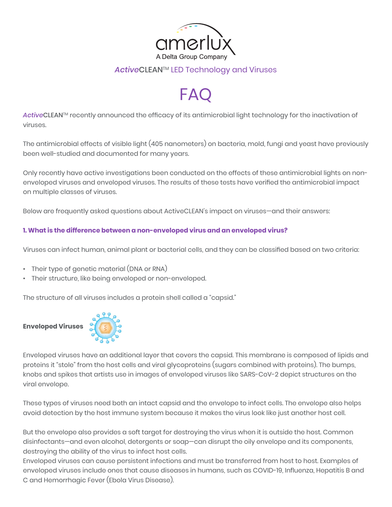

# *Active*CLEANTM LED Technology and Viruses

# FAC

ActiveCLEAN<sup>™</sup> recently announced the efficacy of its antimicrobial light technology for the inactivation of viruses.

The antimicrobial effects of visible light (405 nanometers) on bacteria, mold, fungi and yeast have previously been well-studied and documented for many years.

Only recently have active investigations been conducted on the effects of these antimicrobial lights on nonenveloped viruses and enveloped viruses. The results of these tests have verified the antimicrobial impact on multiple classes of viruses.

Below are frequently asked questions about ActiveCLEAN's impact on viruses—and their answers:

# **1. What is the difference between a non-enveloped virus and an enveloped virus?**

Viruses can infect human, animal plant or bacterial cells, and they can be classified based on two criteria:

- Their type of genetic material (DNA or RNA)
- Their structure, like being enveloped or non-enveloped.

The structure of all viruses includes a protein shell called a "capsid."



Enveloped viruses have an additional layer that covers the capsid. This membrane is composed of lipids and proteins it "stole" from the host cells and viral glycoproteins (sugars combined with proteins). The bumps, knobs and spikes that artists use in images of enveloped viruses like SARS-CoV-2 depict structures on the viral envelope.

These types of viruses need both an intact capsid and the envelope to infect cells. The envelope also helps avoid detection by the host immune system because it makes the virus look like just another host cell.

But the envelope also provides a soft target for destroying the virus when it is outside the host. Common disinfectants—and even alcohol, detergents or soap—can disrupt the oily envelope and its components, destroying the ability of the virus to infect host cells.

Enveloped viruses can cause persistent infections and must be transferred from host to host. Examples of enveloped viruses include ones that cause diseases in humans, such as COVID-19, Influenza, Hepatitis B and C and Hemorrhagic Fever (Ebola Virus Disease).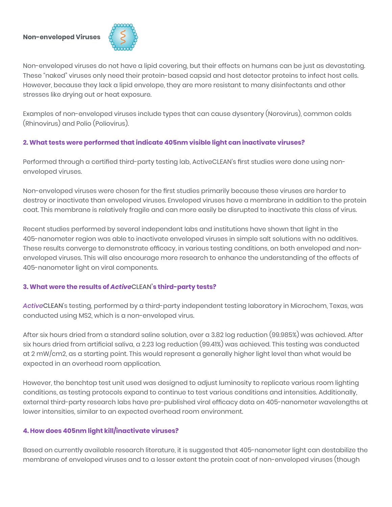#### **Non-enveloped Viruses**



Non-enveloped viruses do not have a lipid covering, but their effects on humans can be just as devastating. These "naked" viruses only need their protein-based capsid and host detector proteins to infect host cells. However, because they lack a lipid envelope, they are more resistant to many disinfectants and other stresses like drying out or heat exposure.

Examples of non-enveloped viruses include types that can cause dysentery (Norovirus), common colds (Rhinovirus) and Polio (Poliovirus).

## **2. What tests were performed that indicate 405nm visible light can inactivate viruses?**

Performed through a certified third-party testing lab, ActiveCLEAN's first studies were done using nonenveloped viruses.

Non-enveloped viruses were chosen for the first studies primarily because these viruses are harder to destroy or inactivate than enveloped viruses. Enveloped viruses have a membrane in addition to the protein coat. This membrane is relatively fragile and can more easily be disrupted to inactivate this class of virus.

Recent studies performed by several independent labs and institutions have shown that light in the 405-nanometer region was able to inactivate enveloped viruses in simple salt solutions with no additives. These results converge to demonstrate efficacy, in various testing conditions, on both enveloped and nonenveloped viruses. This will also encourage more research to enhance the understanding of the effects of 405-nanometer light on viral components.

## **3. What were the results of** *Active*CLEAN**'s third-party tests?**

*Active*CLEAN's testing, performed by a third-party independent testing laboratory in Microchem, Texas, was conducted using MS2, which is a non-enveloped virus.

After six hours dried from a standard saline solution, over a 3.82 log reduction (99.985%) was achieved. After six hours dried from artificial saliva, a 2.23 log reduction (99.41%) was achieved. This testing was conducted at 2 mW/cm2, as a starting point. This would represent a generally higher light level than what would be expected in an overhead room application.

However, the benchtop test unit used was designed to adjust luminosity to replicate various room lighting conditions, as testing protocols expand to continue to test various conditions and intensities. Additionally, external third-party research labs have pre-published viral efficacy data on 405-nanometer wavelengths at lower intensities, similar to an expected overhead room environment.

## **4. How does 405nm light kill/inactivate viruses?**

Based on currently available research literature, it is suggested that 405-nanometer light can destabilize the membrane of enveloped viruses and to a lesser extent the protein coat of non-enveloped viruses (though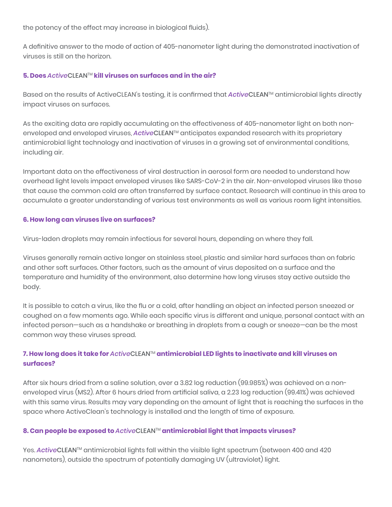the potency of the effect may increase in biological fluids).

A definitive answer to the mode of action of 405-nanometer light during the demonstrated inactivation of viruses is still on the horizon.

#### **5. Does** *Active*CLEANTM **kill viruses on surfaces and in the air?**

Based on the results of ActiveCLEAN's testing, it is confirmed that *Active*CLEANTM antimicrobial lights directly impact viruses on surfaces.

As the exciting data are rapidly accumulating on the effectiveness of 405-nanometer light on both nonenveloped and enveloped viruses, *Active*CLEANTM anticipates expanded research with its proprietary antimicrobial light technology and inactivation of viruses in a growing set of environmental conditions, including air.

Important data on the effectiveness of viral destruction in aerosol form are needed to understand how overhead light levels impact enveloped viruses like SARS-CoV-2 in the air. Non-enveloped viruses like those that cause the common cold are often transferred by surface contact. Research will continue in this area to accumulate a greater understanding of various test environments as well as various room light intensities.

#### **6. How long can viruses live on surfaces?**

Virus-laden droplets may remain infectious for several hours, depending on where they fall.

Viruses generally remain active longer on stainless steel, plastic and similar hard surfaces than on fabric and other soft surfaces. Other factors, such as the amount of virus deposited on a surface and the temperature and humidity of the environment, also determine how long viruses stay active outside the body.

It is possible to catch a virus, like the flu or a cold, after handling an object an infected person sneezed or coughed on a few moments ago. While each specific virus is different and unique, personal contact with an infected person—such as a handshake or breathing in droplets from a cough or sneeze—can be the most common way these viruses spread.

# **7. How long does it take for** *Active*CLEANTM **antimicrobial LED lights to inactivate and kill viruses on surfaces?**

After six hours dried from a saline solution, over a 3.82 log reduction (99.985%) was achieved on a nonenveloped virus (MS2). After 6 hours dried from artificial saliva, a 2.23 log reduction (99.41%) was achieved with this same virus. Results may vary depending on the amount of light that is reaching the surfaces in the space where ActiveClean's technology is installed and the length of time of exposure.

## **8. Can people be exposed to** *Active*CLEANTM **antimicrobial light that impacts viruses?**

Yes. *ActiveCLEAN™* antimicrobial lights fall within the visible light spectrum (between 400 and 420 nanometers), outside the spectrum of potentially damaging UV (ultraviolet) light.